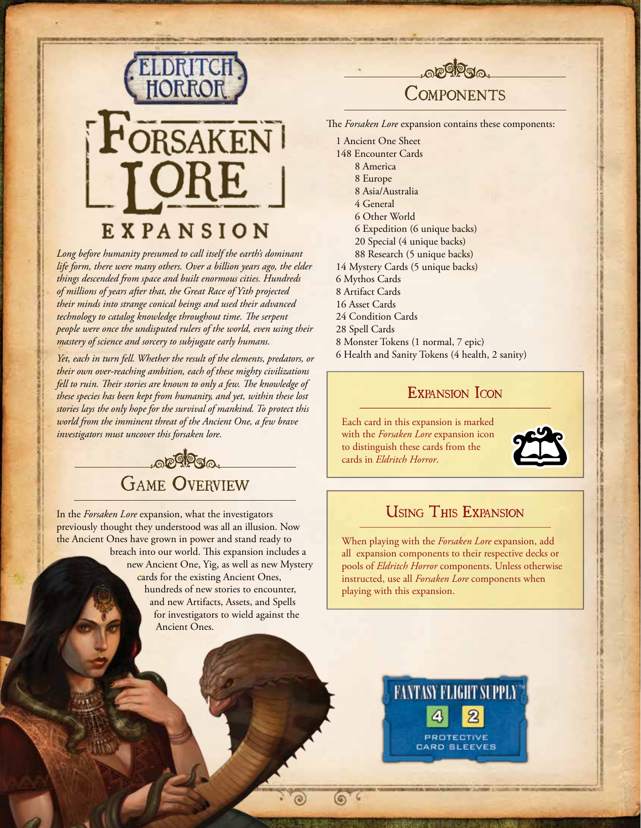

*Long before humanity presumed to call itself the earth's dominant life form, there were many others. Over a billion years ago, the elder things descended from space and built enormous cities. Hundreds of millions of years after that, the Great Race of Yith projected their minds into strange conical beings and used their advanced technology to catalog knowledge throughout time. The serpent people were once the undisputed rulers of the world, even using their mastery of science and sorcery to subjugate early humans.*

*Yet, each in turn fell. Whether the result of the elements, predators, or their own over-reaching ambition, each of these mighty civilizations fell to ruin. Their stories are known to only a few. The knowledge of these species has been kept from humanity, and yet, within these lost stories lays the only hope for the survival of mankind. To protect this world from the imminent threat of the Ancient One, a few brave investigators must uncover this forsaken lore.*



In the *Forsaken Lore* expansion, what the investigators previously thought they understood was all an illusion. Now the Ancient Ones have grown in power and stand ready to

breach into our world. This expansion includes a new Ancient One, Yig, as well as new Mystery cards for the existing Ancient Ones, hundreds of new stories to encounter, and new Artifacts, Assets, and Spells for investigators to wield against the Ancient Ones.

 $\odot$ 

۵



# **COMPONENTS**

The *Forsaken Lore* expansion contains these components:

1 Ancient One Sheet 148 Encounter Cards 8 America 8 Europe 8 Asia/Australia 4 General 6 Other World 6 Expedition (6 unique backs) 20 Special (4 unique backs) 88 Research (5 unique backs) 14 Mystery Cards (5 unique backs) 6 Mythos Cards 8 Artifact Cards 16 Asset Cards 24 Condition Cards 28 Spell Cards 8 Monster Tokens (1 normal, 7 epic) 6 Health and Sanity Tokens (4 health, 2 sanity)

## EXPANSION ICON

Each card in this expansion is marked with the *Forsaken Lore* expansion icon to distinguish these cards from the cards in *Eldritch Horror*.



## Using This Expansion

When playing with the *Forsaken Lore* expansion, add all expansion components to their respective decks or pools of *Eldritch Horror* components. Unless otherwise instructed, use all *Forsaken Lore* components when playing with this expansion.

**EANTASY FLIGHT SLPPLY** 

**PROTECTIVE** CARD BLEEVES